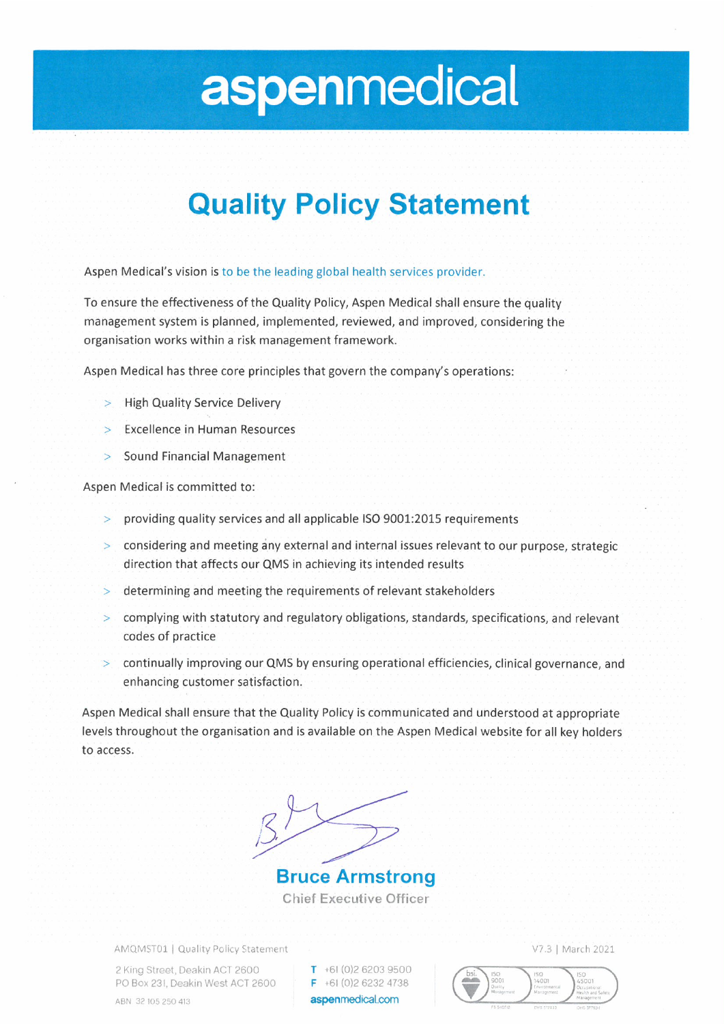# aspenmedical

#### **Quality Policy Statement**

Aspen Medical's vision is to be the leading global health services provider.

To ensure the effectiveness of the Quality Policy, Aspen Medical shall ensure the quality management system is planned, implemented, reviewed, and improved, considering the organisation works within a risk management framework.

Aspen Medical has three core principles that govern the company's operations:

- **High Quality Service Delivery**  $\rightarrow$
- **Excellence in Human Resources**
- Sound Financial Management

Aspen Medical is committed to:

- providing quality services and all applicable ISO 9001:2015 requirements
- > considering and meeting any external and internal issues relevant to our purpose, strategic direction that affects our QMS in achieving its intended results
- determining and meeting the requirements of relevant stakeholders  $\geq$
- complying with statutory and regulatory obligations, standards, specifications, and relevant  $\geq$ codes of practice
- > continually improving our QMS by ensuring operational efficiencies, clinical governance, and enhancing customer satisfaction.

Aspen Medical shall ensure that the Quality Policy is communicated and understood at appropriate levels throughout the organisation and is available on the Aspen Medical website for all key holders to access.

**Bruce Armstrong Chief Executive Officer** 

AMQMST01 | Quality Policy Statement

2 King Street, Deakin ACT 2600 PO Box 231, Deakin West ACT 2600 ABN 32 105 250 413

 $T + 61(0)262039500$  $F + 61(0)262324738$ aspenmedical.com

V7.3 | March 2021